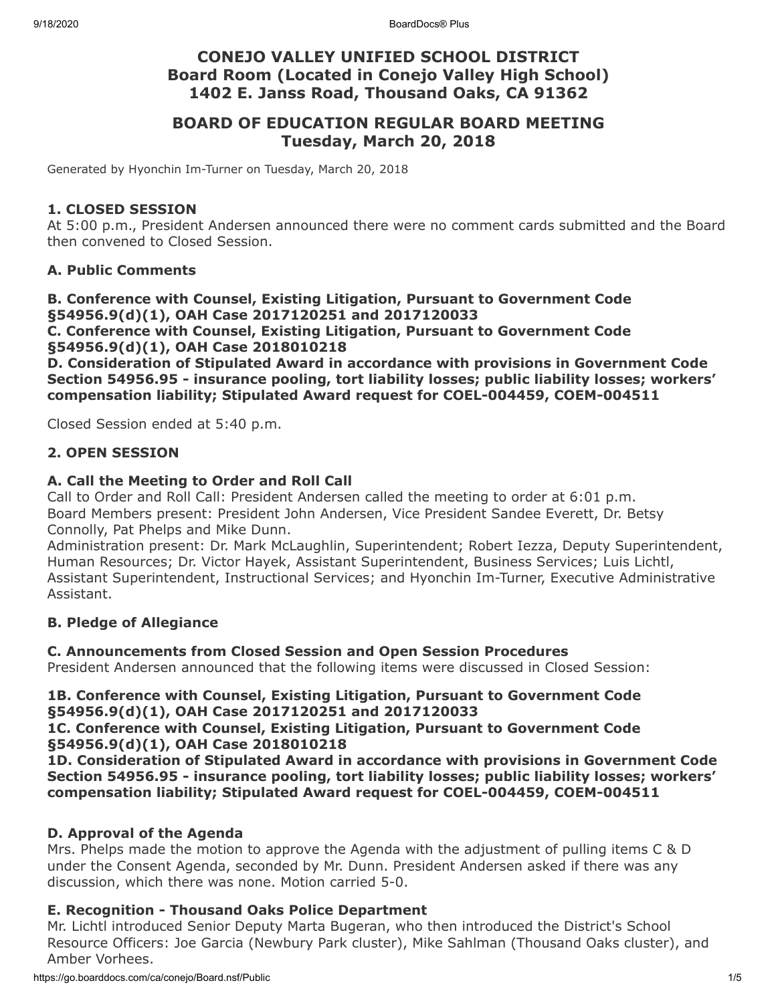# **CONEJO VALLEY UNIFIED SCHOOL DISTRICT Board Room (Located in Conejo Valley High School) 1402 E. Janss Road, Thousand Oaks, CA 91362**

# **BOARD OF EDUCATION REGULAR BOARD MEETING Tuesday, March 20, 2018**

Generated by Hyonchin Im-Turner on Tuesday, March 20, 2018

#### **1. CLOSED SESSION**

At 5:00 p.m., President Andersen announced there were no comment cards submitted and the Board then convened to Closed Session.

## **A. Public Comments**

**B. Conference with Counsel, Existing Litigation, Pursuant to Government Code §54956.9(d)(1), OAH Case 2017120251 and 2017120033 C. Conference with Counsel, Existing Litigation, Pursuant to Government Code**

**§54956.9(d)(1), OAH Case 2018010218**

**D. Consideration of Stipulated Award in accordance with provisions in Government Code Section 54956.95 - insurance pooling, tort liability losses; public liability losses; workers' compensation liability; Stipulated Award request for COEL-004459, COEM-004511**

Closed Session ended at 5:40 p.m.

## **2. OPEN SESSION**

## **A. Call the Meeting to Order and Roll Call**

Call to Order and Roll Call: President Andersen called the meeting to order at 6:01 p.m. Board Members present: President John Andersen, Vice President Sandee Everett, Dr. Betsy Connolly, Pat Phelps and Mike Dunn.

Administration present: Dr. Mark McLaughlin, Superintendent; Robert Iezza, Deputy Superintendent, Human Resources; Dr. Victor Hayek, Assistant Superintendent, Business Services; Luis Lichtl, Assistant Superintendent, Instructional Services; and Hyonchin Im-Turner, Executive Administrative Assistant.

## **B. Pledge of Allegiance**

## **C. Announcements from Closed Session and Open Session Procedures**

President Andersen announced that the following items were discussed in Closed Session:

## **1B. Conference with Counsel, Existing Litigation, Pursuant to Government Code §54956.9(d)(1), OAH Case 2017120251 and 2017120033**

#### **1C. Conference with Counsel, Existing Litigation, Pursuant to Government Code §54956.9(d)(1), OAH Case 2018010218**

**1D. Consideration of Stipulated Award in accordance with provisions in Government Code Section 54956.95 - insurance pooling, tort liability losses; public liability losses; workers' compensation liability; Stipulated Award request for COEL-004459, COEM-004511**

## **D. Approval of the Agenda**

Mrs. Phelps made the motion to approve the Agenda with the adjustment of pulling items C & D under the Consent Agenda, seconded by Mr. Dunn. President Andersen asked if there was any discussion, which there was none. Motion carried 5-0.

## **E. Recognition - Thousand Oaks Police Department**

Mr. Lichtl introduced Senior Deputy Marta Bugeran, who then introduced the District's School Resource Officers: Joe Garcia (Newbury Park cluster), Mike Sahlman (Thousand Oaks cluster), and Amber Vorhees.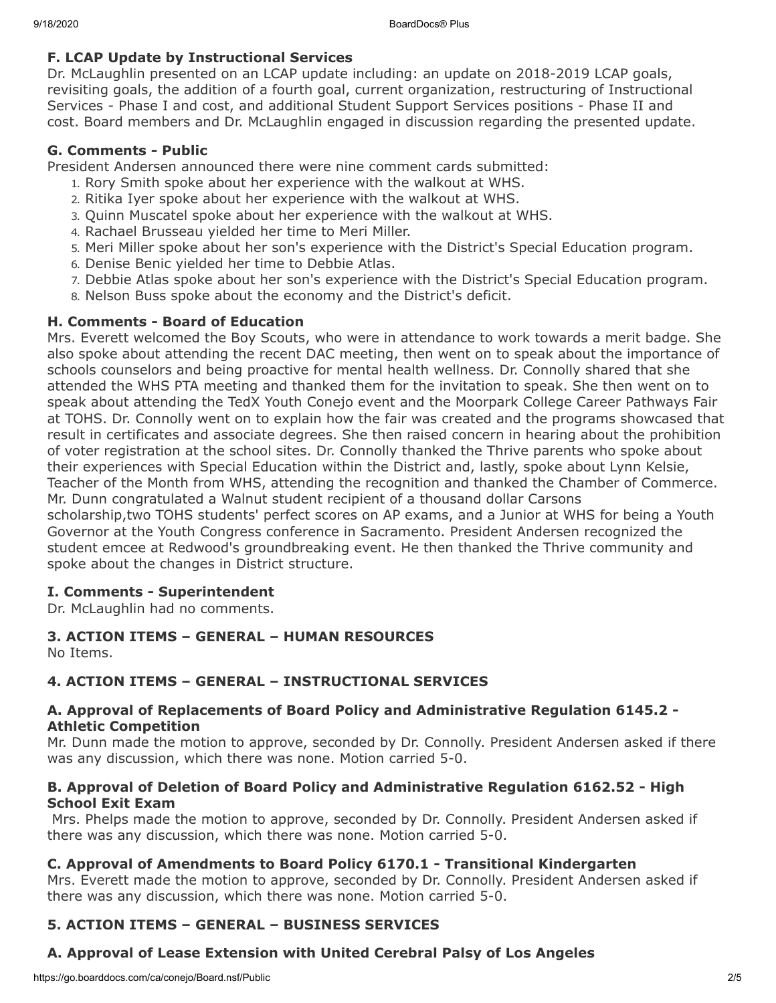## **F. LCAP Update by Instructional Services**

Dr. McLaughlin presented on an LCAP update including: an update on 2018-2019 LCAP goals, revisiting goals, the addition of a fourth goal, current organization, restructuring of Instructional Services - Phase I and cost, and additional Student Support Services positions - Phase II and cost. Board members and Dr. McLaughlin engaged in discussion regarding the presented update.

#### **G. Comments - Public**

President Andersen announced there were nine comment cards submitted:

- 1. Rory Smith spoke about her experience with the walkout at WHS.
- 2. Ritika Iyer spoke about her experience with the walkout at WHS.
- 3. Quinn Muscatel spoke about her experience with the walkout at WHS.
- 4. Rachael Brusseau yielded her time to Meri Miller.
- 5. Meri Miller spoke about her son's experience with the District's Special Education program.
- 6. Denise Benic yielded her time to Debbie Atlas.
- 7. Debbie Atlas spoke about her son's experience with the District's Special Education program.
- 8. Nelson Buss spoke about the economy and the District's deficit.

## **H. Comments - Board of Education**

Mrs. Everett welcomed the Boy Scouts, who were in attendance to work towards a merit badge. She also spoke about attending the recent DAC meeting, then went on to speak about the importance of schools counselors and being proactive for mental health wellness. Dr. Connolly shared that she attended the WHS PTA meeting and thanked them for the invitation to speak. She then went on to speak about attending the TedX Youth Conejo event and the Moorpark College Career Pathways Fair at TOHS. Dr. Connolly went on to explain how the fair was created and the programs showcased that result in certificates and associate degrees. She then raised concern in hearing about the prohibition of voter registration at the school sites. Dr. Connolly thanked the Thrive parents who spoke about their experiences with Special Education within the District and, lastly, spoke about Lynn Kelsie, Teacher of the Month from WHS, attending the recognition and thanked the Chamber of Commerce. Mr. Dunn congratulated a Walnut student recipient of a thousand dollar Carsons

scholarship,two TOHS students' perfect scores on AP exams, and a Junior at WHS for being a Youth Governor at the Youth Congress conference in Sacramento. President Andersen recognized the student emcee at Redwood's groundbreaking event. He then thanked the Thrive community and spoke about the changes in District structure.

# **I. Comments - Superintendent**

Dr. McLaughlin had no comments.

# **3. ACTION ITEMS – GENERAL – HUMAN RESOURCES**

No Items.

# **4. ACTION ITEMS – GENERAL – INSTRUCTIONAL SERVICES**

## **A. Approval of Replacements of Board Policy and Administrative Regulation 6145.2 - Athletic Competition**

Mr. Dunn made the motion to approve, seconded by Dr. Connolly. President Andersen asked if there was any discussion, which there was none. Motion carried 5-0.

## **B. Approval of Deletion of Board Policy and Administrative Regulation 6162.52 - High School Exit Exam**

 Mrs. Phelps made the motion to approve, seconded by Dr. Connolly. President Andersen asked if there was any discussion, which there was none. Motion carried 5-0.

# **C. Approval of Amendments to Board Policy 6170.1 - Transitional Kindergarten**

Mrs. Everett made the motion to approve, seconded by Dr. Connolly. President Andersen asked if there was any discussion, which there was none. Motion carried 5-0.

# **5. ACTION ITEMS – GENERAL – BUSINESS SERVICES**

# **A. Approval of Lease Extension with United Cerebral Palsy of Los Angeles**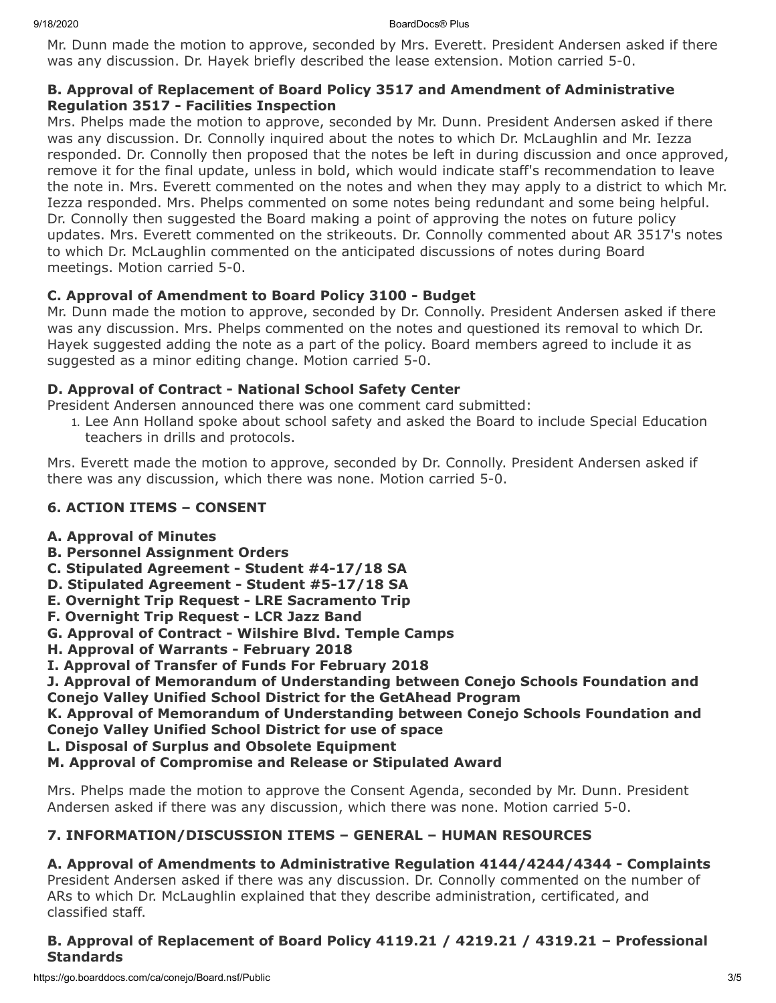Mr. Dunn made the motion to approve, seconded by Mrs. Everett. President Andersen asked if there was any discussion. Dr. Hayek briefly described the lease extension. Motion carried 5-0.

## **B. Approval of Replacement of Board Policy 3517 and Amendment of Administrative Regulation 3517 - Facilities Inspection**

Mrs. Phelps made the motion to approve, seconded by Mr. Dunn. President Andersen asked if there was any discussion. Dr. Connolly inquired about the notes to which Dr. McLaughlin and Mr. Iezza responded. Dr. Connolly then proposed that the notes be left in during discussion and once approved, remove it for the final update, unless in bold, which would indicate staff's recommendation to leave the note in. Mrs. Everett commented on the notes and when they may apply to a district to which Mr. Iezza responded. Mrs. Phelps commented on some notes being redundant and some being helpful. Dr. Connolly then suggested the Board making a point of approving the notes on future policy updates. Mrs. Everett commented on the strikeouts. Dr. Connolly commented about AR 3517's notes to which Dr. McLaughlin commented on the anticipated discussions of notes during Board meetings. Motion carried 5-0.

# **C. Approval of Amendment to Board Policy 3100 - Budget**

Mr. Dunn made the motion to approve, seconded by Dr. Connolly. President Andersen asked if there was any discussion. Mrs. Phelps commented on the notes and questioned its removal to which Dr. Hayek suggested adding the note as a part of the policy. Board members agreed to include it as suggested as a minor editing change. Motion carried 5-0.

# **D. Approval of Contract - National School Safety Center**

President Andersen announced there was one comment card submitted:

1. Lee Ann Holland spoke about school safety and asked the Board to include Special Education teachers in drills and protocols.

Mrs. Everett made the motion to approve, seconded by Dr. Connolly. President Andersen asked if there was any discussion, which there was none. Motion carried 5-0.

# **6. ACTION ITEMS – CONSENT**

# **A. Approval of Minutes**

- **B. Personnel Assignment Orders**
- **C. Stipulated Agreement Student #4-17/18 SA**
- **D. Stipulated Agreement Student #5-17/18 SA**
- **E. Overnight Trip Request LRE Sacramento Trip**
- **F. Overnight Trip Request LCR Jazz Band**
- **G. Approval of Contract Wilshire Blvd. Temple Camps**
- **H. Approval of Warrants February 2018**
- **I. Approval of Transfer of Funds For February 2018**

**J. Approval of Memorandum of Understanding between Conejo Schools Foundation and Conejo Valley Unified School District for the GetAhead Program**

**K. Approval of Memorandum of Understanding between Conejo Schools Foundation and Conejo Valley Unified School District for use of space**

**L. Disposal of Surplus and Obsolete Equipment**

# **M. Approval of Compromise and Release or Stipulated Award**

Mrs. Phelps made the motion to approve the Consent Agenda, seconded by Mr. Dunn. President Andersen asked if there was any discussion, which there was none. Motion carried 5-0.

# **7. INFORMATION/DISCUSSION ITEMS – GENERAL – HUMAN RESOURCES**

# **A. Approval of Amendments to Administrative Regulation 4144/4244/4344 - Complaints**

President Andersen asked if there was any discussion. Dr. Connolly commented on the number of ARs to which Dr. McLaughlin explained that they describe administration, certificated, and classified staff.

# **B. Approval of Replacement of Board Policy 4119.21 / 4219.21 / 4319.21 – Professional Standards**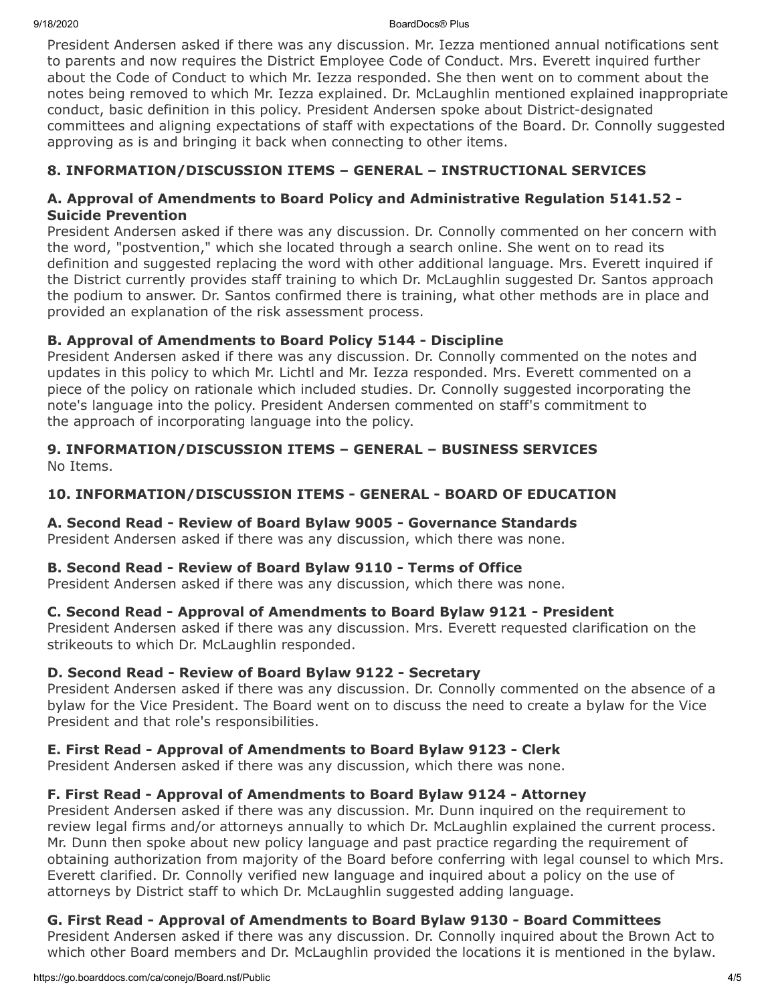9/18/2020 BoardDocs® Plus

President Andersen asked if there was any discussion. Mr. Iezza mentioned annual notifications sent to parents and now requires the District Employee Code of Conduct. Mrs. Everett inquired further about the Code of Conduct to which Mr. Iezza responded. She then went on to comment about the notes being removed to which Mr. Iezza explained. Dr. McLaughlin mentioned explained inappropriate conduct, basic definition in this policy. President Andersen spoke about District-designated committees and aligning expectations of staff with expectations of the Board. Dr. Connolly suggested approving as is and bringing it back when connecting to other items.

# **8. INFORMATION/DISCUSSION ITEMS – GENERAL – INSTRUCTIONAL SERVICES**

## **A. Approval of Amendments to Board Policy and Administrative Regulation 5141.52 - Suicide Prevention**

President Andersen asked if there was any discussion. Dr. Connolly commented on her concern with the word, "postvention," which she located through a search online. She went on to read its definition and suggested replacing the word with other additional language. Mrs. Everett inquired if the District currently provides staff training to which Dr. McLaughlin suggested Dr. Santos approach the podium to answer. Dr. Santos confirmed there is training, what other methods are in place and provided an explanation of the risk assessment process.

# **B. Approval of Amendments to Board Policy 5144 - Discipline**

President Andersen asked if there was any discussion. Dr. Connolly commented on the notes and updates in this policy to which Mr. Lichtl and Mr. Iezza responded. Mrs. Everett commented on a piece of the policy on rationale which included studies. Dr. Connolly suggested incorporating the note's language into the policy. President Andersen commented on staff's commitment to the approach of incorporating language into the policy.

# **9. INFORMATION/DISCUSSION ITEMS – GENERAL – BUSINESS SERVICES**

No Items.

# **10. INFORMATION/DISCUSSION ITEMS - GENERAL - BOARD OF EDUCATION**

# **A. Second Read - Review of Board Bylaw 9005 - Governance Standards**

President Andersen asked if there was any discussion, which there was none.

# **B. Second Read - Review of Board Bylaw 9110 - Terms of Office**

President Andersen asked if there was any discussion, which there was none.

# **C. Second Read - Approval of Amendments to Board Bylaw 9121 - President**

President Andersen asked if there was any discussion. Mrs. Everett requested clarification on the strikeouts to which Dr. McLaughlin responded.

# **D. Second Read - Review of Board Bylaw 9122 - Secretary**

President Andersen asked if there was any discussion. Dr. Connolly commented on the absence of a bylaw for the Vice President. The Board went on to discuss the need to create a bylaw for the Vice President and that role's responsibilities.

# **E. First Read - Approval of Amendments to Board Bylaw 9123 - Clerk**

President Andersen asked if there was any discussion, which there was none.

# **F. First Read - Approval of Amendments to Board Bylaw 9124 - Attorney**

President Andersen asked if there was any discussion. Mr. Dunn inquired on the requirement to review legal firms and/or attorneys annually to which Dr. McLaughlin explained the current process. Mr. Dunn then spoke about new policy language and past practice regarding the requirement of obtaining authorization from majority of the Board before conferring with legal counsel to which Mrs. Everett clarified. Dr. Connolly verified new language and inquired about a policy on the use of attorneys by District staff to which Dr. McLaughlin suggested adding language.

# **G. First Read - Approval of Amendments to Board Bylaw 9130 - Board Committees**

President Andersen asked if there was any discussion. Dr. Connolly inquired about the Brown Act to which other Board members and Dr. McLaughlin provided the locations it is mentioned in the bylaw.